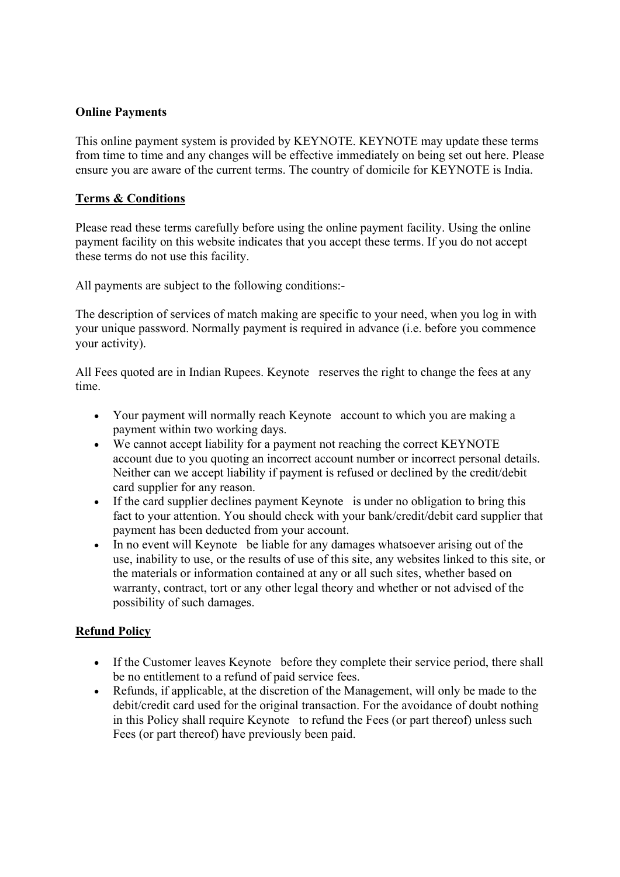## **Online Payments**

This online payment system is provided by KEYNOTE. KEYNOTE may update these terms from time to time and any changes will be effective immediately on being set out here. Please ensure you are aware of the current terms. The country of domicile for KEYNOTE is India.

## **Terms & Conditions**

Please read these terms carefully before using the online payment facility. Using the online payment facility on this website indicates that you accept these terms. If you do not accept these terms do not use this facility.

All payments are subject to the following conditions:-

The description of services of match making are specific to your need, when you log in with your unique password. Normally payment is required in advance (i.e. before you commence your activity).

All Fees quoted are in Indian Rupees. Keynote reserves the right to change the fees at any time.

- Your payment will normally reach Keynote account to which you are making a payment within two working days.
- We cannot accept liability for a payment not reaching the correct KEYNOTE account due to you quoting an incorrect account number or incorrect personal details. Neither can we accept liability if payment is refused or declined by the credit/debit card supplier for any reason.
- If the card supplier declines payment Keynote is under no obligation to bring this fact to your attention. You should check with your bank/credit/debit card supplier that payment has been deducted from your account.
- In no event will Keynote be liable for any damages whatsoever arising out of the use, inability to use, or the results of use of this site, any websites linked to this site, or the materials or information contained at any or all such sites, whether based on warranty, contract, tort or any other legal theory and whether or not advised of the possibility of such damages.

# **Refund Policy**

- If the Customer leaves Keynote before they complete their service period, there shall be no entitlement to a refund of paid service fees.
- Refunds, if applicable, at the discretion of the Management, will only be made to the debit/credit card used for the original transaction. For the avoidance of doubt nothing in this Policy shall require Keynote to refund the Fees (or part thereof) unless such Fees (or part thereof) have previously been paid.